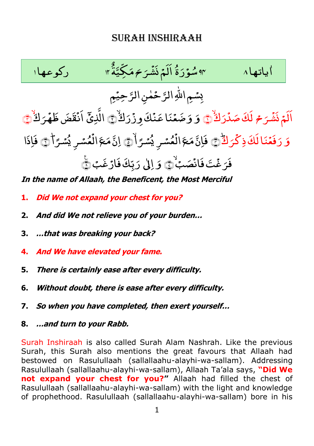## Surah Inshiraah



**In the name of Allaah, the Beneficent, the Most Merciful** 

- **1. Did We not expand your chest for you?**
- **2. And did We not relieve you of your burden…**
- **3. …that was breaking your back?**
- **4. And We have elevated your fame.**
- **5. There is certainly ease after every difficulty.**
- **6. Without doubt, there is ease after every difficulty.**
- **7. So when you have completed, then exert yourself…**
- **8. …and turn to your Rabb.**

Surah Inshiraah is also called Surah Alam Nashrah. Like the previous Surah, this Surah also mentions the great favours that Allaah had bestowed on Rasulullaah (sallallaahu-alayhi-wa-sallam). Addressing Rasulullaah (sallallaahu-alayhi-wa-sallam), Allaah Ta"ala says, **"Did We not expand your chest for you?"** Allaah had filled the chest of Rasulullaah (sallallaahu-alayhi-wa-sallam) with the light and knowledge of prophethood. Rasulullaah (sallallaahu-alayhi-wa-sallam) bore in his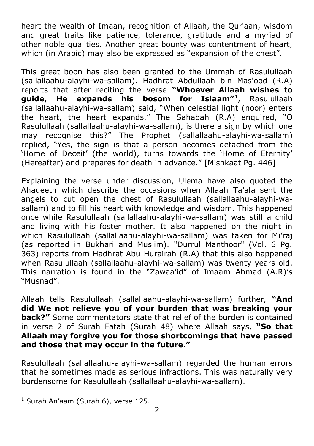heart the wealth of Imaan, recognition of Allaah, the Qur'aan, wisdom and great traits like patience, tolerance, gratitude and a myriad of other noble qualities. Another great bounty was contentment of heart, which (in Arabic) may also be expressed as "expansion of the chest".

This great boon has also been granted to the Ummah of Rasulullaah (sallallaahu-alayhi-wa-sallam). Hadhrat Abdullaah bin Mas'ood (R.A) reports that after reciting the verse **"Whoever Allaah wishes to guide, He expands his bosom for Islaam"<sup>1</sup>** , Rasulullaah (sallallaahu-alayhi-wa-sallam) said, "When celestial light (noor) enters the heart, the heart expands." The Sahabah (R.A) enquired, "O Rasulullaah (sallallaahu-alayhi-wa-sallam), is there a sign by which one may recognise this?" The Prophet (sallallaahu-alayhi-wa-sallam) replied, "Yes, the sign is that a person becomes detached from the "Home of Deceit" (the world), turns towards the "Home of Eternity" (Hereafter) and prepares for death in advance." [Mishkaat Pg. 446]

Explaining the verse under discussion, Ulema have also quoted the Ahadeeth which describe the occasions when Allaah Ta"ala sent the angels to cut open the chest of Rasulullaah (sallallaahu-alayhi-wasallam) and to fill his heart with knowledge and wisdom. This happened once while Rasulullaah (sallallaahu-alayhi-wa-sallam) was still a child and living with his foster mother. It also happened on the night in which Rasulullaah (sallallaahu-alayhi-wa-sallam) was taken for Mi"raj (as reported in Bukhari and Muslim). "Durrul Manthoor" (Vol. 6 Pg. 363) reports from Hadhrat Abu Hurairah (R.A) that this also happened when Rasulullaah (sallallaahu-alayhi-wa-sallam) was twenty years old. This narration is found in the "Zawaa"id" of Imaam Ahmad (A.R)"s "Musnad".

Allaah tells Rasulullaah (sallallaahu-alayhi-wa-sallam) further, **"And did We not relieve you of your burden that was breaking your back?"** Some commentators state that relief of the burden is contained in verse 2 of Surah Fatah (Surah 48) where Allaah says, **"So that Allaah may forgive you for those shortcomings that have passed and those that may occur in the future."** 

Rasulullaah (sallallaahu-alayhi-wa-sallam) regarded the human errors that he sometimes made as serious infractions. This was naturally very burdensome for Rasulullaah (sallallaahu-alayhi-wa-sallam).

 $<sup>1</sup>$  Surah An'aam (Surah 6), verse 125.</sup>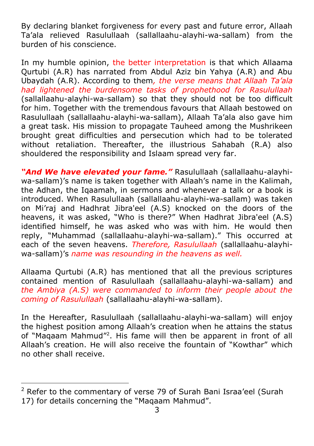By declaring blanket forgiveness for every past and future error, Allaah Ta"ala relieved Rasulullaah (sallallaahu-alayhi-wa-sallam) from the burden of his conscience.

In my humble opinion, the better interpretation is that which Allaama Qurtubi (A.R) has narrated from Abdul Aziz bin Yahya (A.R) and Abu Ubaydah (A.R). According to them*, the verse means that Allaah Ta'ala had lightened the burdensome tasks of prophethood for Rasulullaah* (sallallaahu-alayhi-wa-sallam) so that they should not be too difficult for him. Together with the tremendous favours that Allaah bestowed on Rasulullaah (sallallaahu-alayhi-wa-sallam), Allaah Ta"ala also gave him a great task. His mission to propagate Tauheed among the Mushrikeen brought great difficulties and persecution which had to be tolerated without retaliation. Thereafter, the illustrious Sahabah (R.A) also shouldered the responsibility and Islaam spread very far.

*"And We have elevated your fame."* Rasulullaah (sallallaahu-alayhiwa-sallam)'s name is taken together with Allaah's name in the Kalimah, the Adhan, the Iqaamah, in sermons and whenever a talk or a book is introduced. When Rasulullaah (sallallaahu-alayhi-wa-sallam) was taken on Mi"raj and Hadhrat Jibra'eel (A.S) knocked on the doors of the heavens, it was asked, "Who is there?" When Hadhrat Jibra'eel (A.S) identified himself, he was asked who was with him. He would then reply, "Muhammad (sallallaahu-alayhi-wa-sallam)." This occurred at each of the seven heavens. *Therefore, Rasulullaah* (sallallaahu-alayhiwa-sallam)"s *name was resounding in the heavens as well.* 

Allaama Qurtubi (A.R) has mentioned that all the previous scriptures contained mention of Rasulullaah (sallallaahu-alayhi-wa-sallam) and *the Ambiya (A.S) were commanded to inform their people about the coming of Rasulullaah* (sallallaahu-alayhi-wa-sallam).

In the Hereafter, Rasulullaah (sallallaahu-alayhi-wa-sallam) will enjoy the highest position among Allaah"s creation when he attains the status of "Maqaam Mahmud"<sup>2</sup>. His fame will then be apparent in front of all Allaah"s creation. He will also receive the fountain of "Kowthar" which no other shall receive.

 $2$  Refer to the commentary of verse 79 of Surah Bani Israa'eel (Surah 17) for details concerning the "Maqaam Mahmud".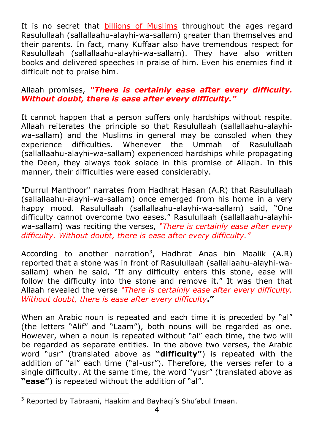It is no secret that billions of Muslims throughout the ages regard Rasulullaah (sallallaahu-alayhi-wa-sallam) greater than themselves and their parents. In fact, many Kuffaar also have tremendous respect for Rasulullaah (sallallaahu-alayhi-wa-sallam). They have also written books and delivered speeches in praise of him. Even his enemies find it difficult not to praise him.

## Allaah promises, *"There is certainly ease after every difficulty. Without doubt, there is ease after every difficulty."*

It cannot happen that a person suffers only hardships without respite. Allaah reiterates the principle so that Rasulullaah (sallallaahu-alayhiwa-sallam) and the Muslims in general may be consoled when they experience difficulties. Whenever the Ummah of Rasulullaah (sallallaahu-alayhi-wa-sallam) experienced hardships while propagating the Deen, they always took solace in this promise of Allaah. In this manner, their difficulties were eased considerably.

"Durrul Manthoor" narrates from Hadhrat Hasan (A.R) that Rasulullaah (sallallaahu-alayhi-wa-sallam) once emerged from his home in a very happy mood. Rasulullaah (sallallaahu-alayhi-wa-sallam) said, "One difficulty cannot overcome two eases." Rasulullaah (sallallaahu-alayhiwa-sallam) was reciting the verses, *"There is certainly ease after every difficulty. Without doubt, there is ease after every difficulty."* 

According to another narration<sup>3</sup>, Hadhrat Anas bin Maalik (A.R) reported that a stone was in front of Rasulullaah (sallallaahu-alayhi-wasallam) when he said, "If any difficulty enters this stone, ease will follow the difficulty into the stone and remove it." It was then that Allaah revealed the verse *"There is certainly ease after every difficulty. Without doubt, there is ease after every difficulty***."** 

When an Arabic noun is repeated and each time it is preceded by "al" (the letters "Alif" and "Laam"), both nouns will be regarded as one. However, when a noun is repeated without "al" each time, the two will be regarded as separate entities. In the above two verses, the Arabic word "usr" (translated above as **"difficulty"**) is repeated with the addition of "al" each time ("al-usr"). Therefore, the verses refer to a single difficulty. At the same time, the word "yusr" (translated above as **"ease"**) is repeated without the addition of "al".

<sup>&</sup>lt;sup>3</sup> Reported by Tabraani, Haakim and Bayhaqi's Shu'abul Imaan.